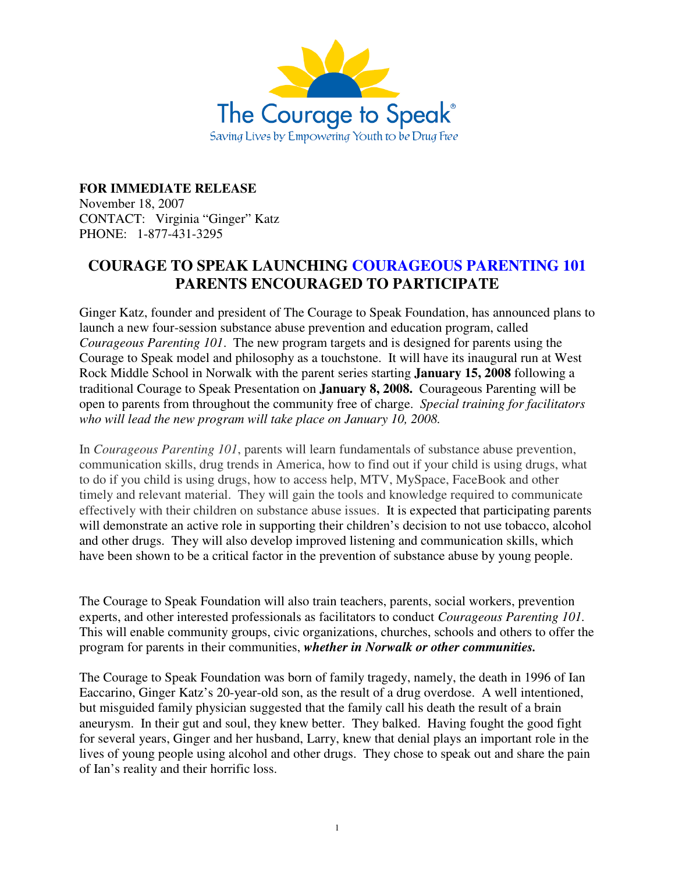

**FOR IMMEDIATE RELEASE** November 18, 2007 CONTACT: Virginia "Ginger" Katz PHONE: 1-877-431-3295

## **COURAGE TO SPEAK LAUNCHING COURAGEOUS PARENTING 101 PARENTS ENCOURAGED TO PARTICIPATE**

Ginger Katz, founder and president of The Courage to Speak Foundation, has announced plans to launch a new four-session substance abuse prevention and education program, called *Courageous Parenting 101*. The new program targets and is designed for parents using the Courage to Speak model and philosophy as a touchstone. It will have its inaugural run at West Rock Middle School in Norwalk with the parent series starting **January 15, 2008** following a traditional Courage to Speak Presentation on **January 8, 2008.** Courageous Parenting will be open to parents from throughout the community free of charge. *Special training for facilitators who will lead the new program will take place on January 10, 2008.*

In *Courageous Parenting 101*, parents will learn fundamentals of substance abuse prevention, communication skills, drug trends in America, how to find out if your child is using drugs, what to do if you child is using drugs, how to access help, MTV, MySpace, FaceBook and other timely and relevant material. They will gain the tools and knowledge required to communicate effectively with their children on substance abuse issues. It is expected that participating parents will demonstrate an active role in supporting their children's decision to not use tobacco, alcohol and other drugs. They will also develop improved listening and communication skills, which have been shown to be a critical factor in the prevention of substance abuse by young people.

The Courage to Speak Foundation will also train teachers, parents, social workers, prevention experts, and other interested professionals as facilitators to conduct *Courageous Parenting 101.*  This will enable community groups, civic organizations, churches, schools and others to offer the program for parents in their communities, *whether in Norwalk or other communities.*

The Courage to Speak Foundation was born of family tragedy, namely, the death in 1996 of Ian Eaccarino, Ginger Katz's 20-year-old son, as the result of a drug overdose. A well intentioned, but misguided family physician suggested that the family call his death the result of a brain aneurysm. In their gut and soul, they knew better. They balked. Having fought the good fight for several years, Ginger and her husband, Larry, knew that denial plays an important role in the lives of young people using alcohol and other drugs. They chose to speak out and share the pain of Ian's reality and their horrific loss.